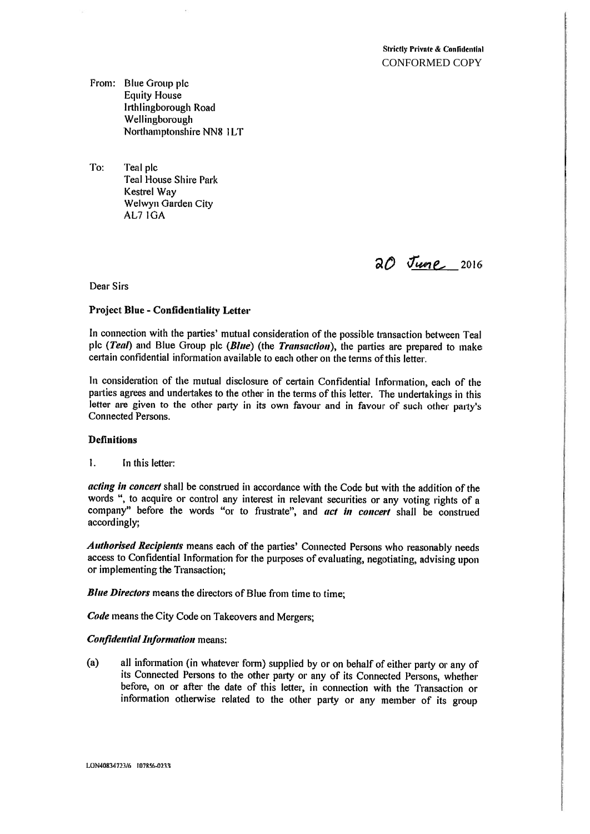From: Blue Group plc **Equity House** Irthlingborough Road Wellingborough Northamptonshire NN8 1LT

To: Teal plc Teal House Shire Park Kestrel Way Weiwyn Garden City AL7 IGA

2016 June 2016

Dear Sirs

### Project Blue - Confidentiality Letter

In connection with the parties' mutual consideration of the possible transaction between Teal plc (Teal) and Blue Group plc (Blue) (the Transaction), the parties are prepared to make certain confidential information available to each other on the terms of this letter.

In consideration of the mutual disclosure of certain Confidential Information, each of the parties agrees and undertakes to the other in the terms of this letter. The undertakings in this letter are <sup>g</sup>iven to the other party in its own favour and in favour of such other party's Connected Persons.

## Definitions

 $\mathbf{1}$ . In this letter:

acting in concert shall be construed in accordance with the Code but with the addition of the words ", to acquire or control any interest in relevant securities or any voting rights of <sup>a</sup> company" before the words "or to frustrate", and act in concert shall be construed accordingly;

Authorised Recipients means each of the parties' Connected Persons who reasonably needs access to Confidential Information for the purposes of evaluating, negotiating, advising upon or implementing the Transaction;

**Blue Directors** means the directors of Blue from time to time;

Code means the City Code on Takeovers and Mergers;

### **Confidential Information means:**

(a) all information (in whatever form) supplied by or on behalf of either party or any of its Connected Persons to the other party or any of its Connected Persons, whether before, on or after the date of this letter, in connection with the Transaction or information otherwise related to the other party or any member of its group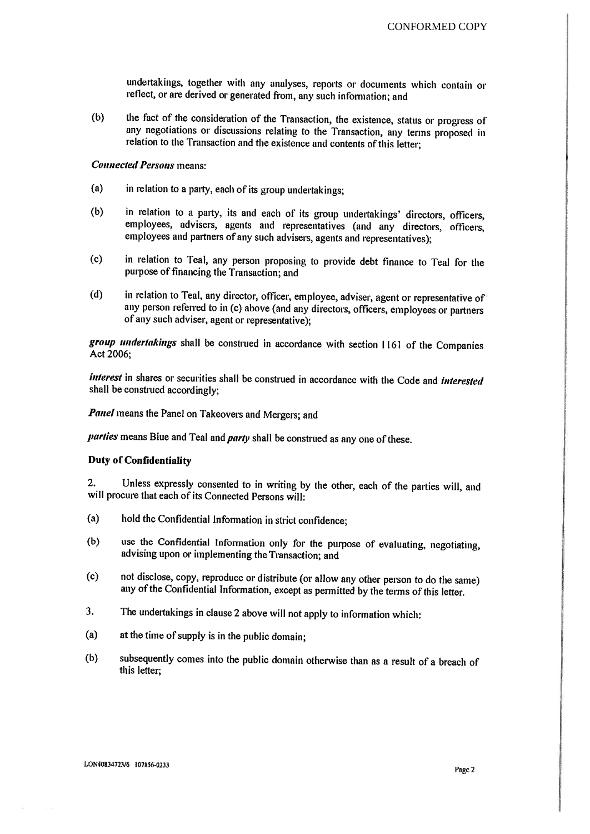undertakings, together with any analyses, reports or documents which contain or reflect, or are derived or generated from, any such information; and

(b) the fact of the consideration of the Transaction, the existence, status or progress of any negotiations or discussions relating to the Transaction, any terms proposed in relation to the Transaction and the existence and contents of this letter;

# Connected Persons means:

- $(a)$  in relation to a party, each of its group undertakings;
- (b) in relation to <sup>a</sup> party, its and each of its group undertakings' directors, officers, employees, advisers, agents and representatives (and any directors, officers, employees and partners of any such advisers, agents and representatives):
- (c) in relation to Teal, any person proposing to provide debt finance to Teal for the purpose of financing the Transaction; and
- (d) in relation to Teal, any director. officer, employee, adviser, agent or representative of any person referred to in (c) above (and any directors, officers, employees or partners of any such adviser, agent or representative);

group undertakings shall be construed in accordance with section 1161 of the Companies Act 2006:

interest in shares or securities shall be construed in accordance with the Code and interested shall he construed accordingly;

Panel means the Panel on Takeovers and Mergers; and

parties means Blue and Teal and party shall be construed as any one of these.

# Duty of Confidentiality

2. Unless expressly consented to in writing by the other, each of the parties will, and will procure that each of its Connected Persons will:

- (a) hold the Confidential Information in strict confidence;
- (b) use the Confidential Information only for the purpose of evaluating, negotiating, advising upon or implementing the Transaction; and
- (c) not disclose, copy, reproduce or distribute (or allow any other person to do the same) any of the Confidential Information, except as permitted by the terms of this letter.
- 3. The undertakings in clause <sup>2</sup> above will not apply to information which:
- (a) at the time of supply is in the public domain;
- (b) subsequently comes into the public domain otherwise than as a result of a breach of this letter;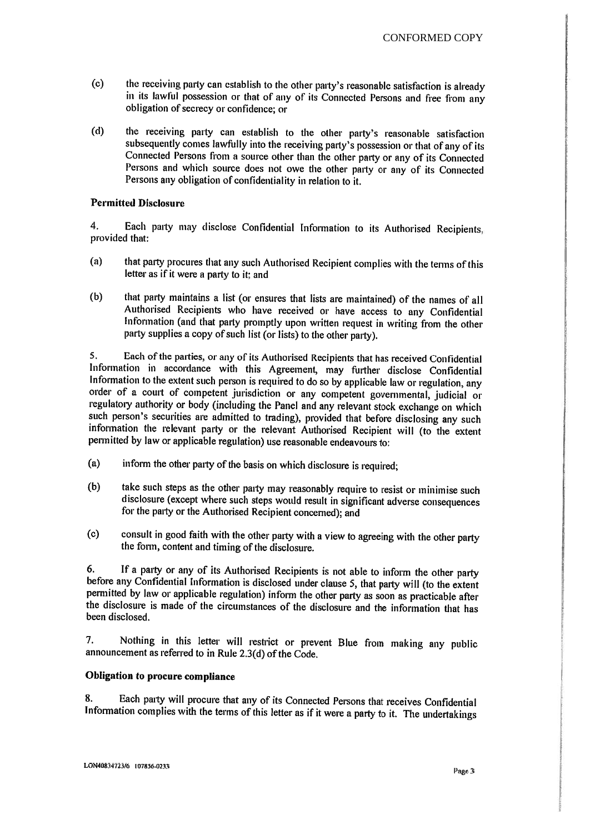- (c) the receiving party can establish to the other party's reasonable satisfaction is already in its lawful possession or that of any of its Connected Persons and free from any obligation of secrecy or confidence; or
- (d) the receiving party can establish to the other party's reasonable satisfaction subsequently comes lawfully into the receiving party's possession or that of any of its Connected Persons from a source other than the other party or any of its Connected Persons and which source does not owe the other party or any of its Connected Persons any obligation of confidentiality in relation to it.

## Permitted Disclosure

4. Each party may disclose Confidential Information to its Authorised Recipients, provided that:

- (a) that party procures that any such Authorised Recipient complies with the terms of this letter as if it were a party to it: and
- (b) that: party maintains <sup>a</sup> list (or ensures that lists are maintained) of the names of all Authorised Recipients who have received or have access to any Confidential Information (and that party promptly upon written request in writing from the other party supplies a copy of such list (or lists) to the other party).

5. Each of the parties, or any of its Authorised Recipients that has received Confidential Information in accordance with this Agreement, may further disclose Confidential Information to the extent such person is required to do so by applicable law or regulation, any order of a court of competent jurisdiction or any competent governmental, judicial or regulatory authority or body (including the Panel and any relevant stock exchange on which such person's securities are admitted to trading), provided that before disclosing any such information the relevant party or the relevant Authorised Recipient will (to the extent permitted by law or applicable regulation) use reasonable endeavours to:

- (a) inform the other party of the basis on which disclosure is required;
- (b) take such steps as the other party may reasonably require to resist or minimise such disclosure (except where such steps would result in significant adverse consequences for the party or the Auihorised Recipient concerned); and
- (c) consult in good faith with the other party with a view to agreeing with the other party the form, content and timing of the disclosure.

6. If a party or any of its Authorised Recipients is not able to inform the other party before any Confidential Information is disclosed under clause 5, that party will (to the extent permitted by law or applicable regulat been disclosed.

7. Nothing in this letter will restrict or prevent Blue from making any public announcement as referred to in Rule 2.3(d) of the Code.

# Obligation to procure compliance

8. Each party will procure that any of its Connected Persons that receives Confidential Information complies with the terms of this letter as if it were <sup>a</sup> party to it. The undertakings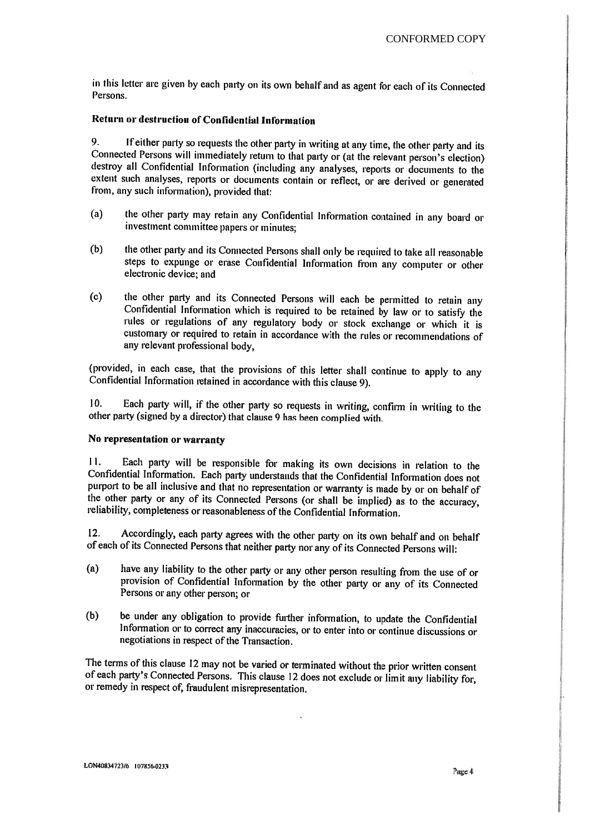in this letter are given by each party on its own behalf and as agent for each of its Connected Persons.

## Return or destruction of Confidential Information

9. If either party so requests the other party in writing at any time, the other party and its Connected Persons will immediately return to that party or (at the relevant person's election) destroy all Confidential Informa extent such analyses, reports or documents contain or reflect, or are derived or generated from, any such information), provided that:

- (a) the other party may retain any Confidential Information contained in any board or investment committee papers or minutes;
- (b) the other party and its Connected Persons shall only be required to take all reasonable steps to expunge or erase Confidential Information from any computer or other electronic device; and
- (c) the other party and its Connected Persons will each be permitted to retain any Confidential Information which is required to be retained by law or to satisfy the rules or regulations of any regulatory body or stock exchange or which it is customary or required to retain in accordance with the rules or recommendations of any relevant professional body,

(provided, in each case, that the provisions of this letter shall continue to apply to any Confidential Information ntained in accordance with this clause 9).

10. Each party will, if the other party so requests in writing, confirm in writing to the other party (signed by <sup>a</sup> director) that clause <sup>9</sup> has been complied with.

# No representation or warranty

11. Each party will be responsible for making its own decisions in relation to the Confidential Information. Each party understands that the Confidential Information does not the other party or any of its Connected Persons (or shall be implied) as to the accuracy, reliability, completeness or reasonableness of the Confidential Information.

12. Accordingly, each party agrees with the other party on its own behalf and on behalf of each of its Connected Persons that neither party nor any of its Connected Persons will:

- (a) have any liability to the other party or any other person resulting from the use of or provision of Confidential Information by the other party or any of its Connected Persons or any other person; or
- (b) be under any obligation to provide further information, to update the Confidential Information or to correct any inaccuracies, or to enter into or continue discussions or negotiations in respect of the Transaction.

The terms of this clause <sup>12</sup> may not be varied or terminated without the prior written consent of each party's Connected Persons. This clause <sup>12</sup> does not exclude or limit any liability for, or remedy in respect of, fraudulent misrepresentation.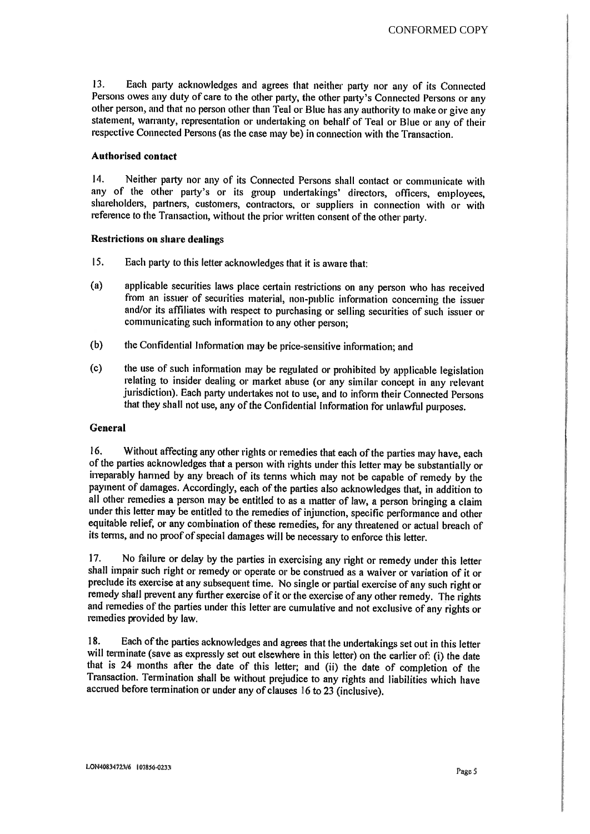13. Each party acknowledges and agrees that neither party nor any of its Connected Persons owes any duty of care to the other party, the other party's Connected Persons or any other person, and that no person other than Teal or Blue has any authority to make or give any statement, warranty, representation or undertaking on behalf of Teal or Blue or any of their respective Connected Persons (as the case may be) in connection with the Transaction.

#### Authorised contact

14. Neither party nor any of its Connected Persons shall contact or communicate with any of the other party's or its group undertakings' directors, officers, employees, shareholders, partners, customers, contractors, or suppliers in connection with or with reference to the Transaction, without the prior written consent of the other party.

#### Restrictions on share dealings

- 15, Each party to this letter acknowledges that it is aware that:
- (a) applicable securities laws <sup>p</sup>lace certain restrictions on any person who has received from an issuer of securities material, non-public information concerning the issuer and/or its affiliates with respect to purchasing or selling securities of such issuer or communicating such information to any other person;
- (b) the Confidential Information may be price—sensitive information; and
- $(c)$  the use of such information may be regulated or prohibited by applicable legislation relating to insider dealing or market abuse (or any similar concept in any relevant jurisdiction). Each party undertakes not to use, and to inform their Connected Persons that they shall not use, any of the Confidential Information for unlawful purposes.

#### General

16. Without affecting any other rights or remedies that each of the parties may have, each of the parties acknowledges that a person with rights under this letter may be substantially or irreparably harmed by any breach of its terms which may not be capable of remedy by the payment of damages. Accordingly, each of the parties also acknowledges that, in addition to all other remedies a person may be entitled to as a matter of law, a person bringing a claim under this letter may be entitled to the remedies of injunction, specific performance and other equitable relief, or any combination of these remedies, for any threatened or actual breach of' its terms, and no proof of special damages will be necessary to enforce this letter.

17. No failure or delay by the parties in exercising any right or remedy under this letter shall impair such right or remedy or operate or be construed as a waiver or variation of it or preclude its exercise at any subsequent time. No single or partial exercise of any such right or remedy shall prevent any further exercise of it or the exercise of any other remedy. The rights and remedies of the parties under this letter are cumulative and not exclusive of any rights or remedies provided by law.

18. Each of the parties acknowledges and agrees that the undertakings set out in this letter will terminate (save as expressly set out elsewhere in this letter) on the earlier of: (i) the date that is 24 months after the d Transaction. Termination shall be without prejudice to any rights and liabilities which have accrued before termination or under any of clauses <sup>16</sup> to <sup>23</sup> (inclusive).